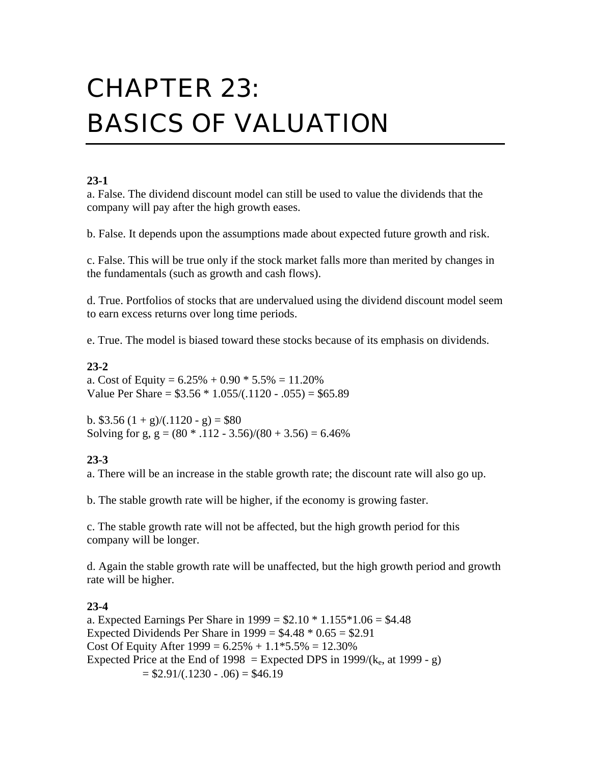# CHAPTER 23: BASICS OF VALUATION

# **23-1**

a. False. The dividend discount model can still be used to value the dividends that the company will pay after the high growth eases.

b. False. It depends upon the assumptions made about expected future growth and risk.

c. False. This will be true only if the stock market falls more than merited by changes in the fundamentals (such as growth and cash flows).

d. True. Portfolios of stocks that are undervalued using the dividend discount model seem to earn excess returns over long time periods.

e. True. The model is biased toward these stocks because of its emphasis on dividends.

# **23-2**

a. Cost of Equity =  $6.25\% + 0.90 * 5.5\% = 11.20\%$ Value Per Share =  $$3.56 * 1.055/(.1120 - .055) = $65.89$ 

b.  $$3.56 (1 + g)/(.1120 - g) = $80$ Solving for g,  $g = (80 * .112 - 3.56)/(80 + 3.56) = 6.46\%$ 

# **23-3**

a. There will be an increase in the stable growth rate; the discount rate will also go up.

b. The stable growth rate will be higher, if the economy is growing faster.

c. The stable growth rate will not be affected, but the high growth period for this company will be longer.

d. Again the stable growth rate will be unaffected, but the high growth period and growth rate will be higher.

# **23-4**

a. Expected Earnings Per Share in  $1999 = $2.10 * 1.155 * 1.06 = $4.48$ Expected Dividends Per Share in  $1999 = $4.48 * 0.65 = $2.91$ Cost Of Equity After  $1999 = 6.25\% + 1.1*5.5\% = 12.30\%$ Expected Price at the End of  $1998 =$  Expected DPS in  $1999/(k_e, \text{ at } 1999 - g)$  $= $2.91/(.1230 - .06) = $46.19$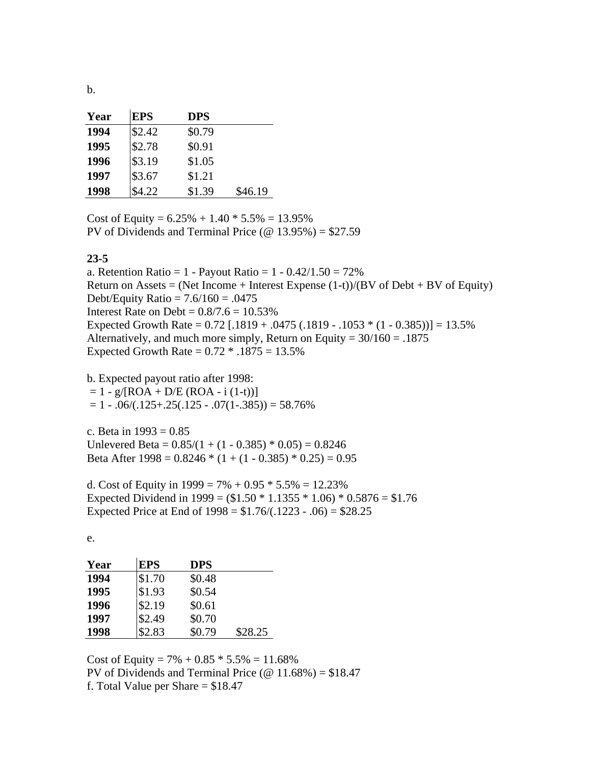b.

| Year | <b>EPS</b> | <b>DPS</b> |         |
|------|------------|------------|---------|
| 1994 | \$2.42     | \$0.79     |         |
| 1995 | \$2.78     | \$0.91     |         |
| 1996 | \$3.19     | \$1.05     |         |
| 1997 | \$3.67     | \$1.21     |         |
| 1998 | \$4.22     | \$1.39     | \$46.19 |

Cost of Equity =  $6.25\% + 1.40 * 5.5\% = 13.95\%$ PV of Dividends and Terminal Price ( $\omega$  13.95%) = \$27.59

#### **23-5**

a. Retention Ratio = 1 - Payout Ratio = 1 -  $0.42/1.50 = 72\%$ Return on Assets = (Net Income + Interest Expense  $(1-t)/(BV)$  of Debt + BV of Equity) Debt/Equity Ratio =  $7.6/160 = .0475$ Interest Rate on Debt =  $0.8/7.6 = 10.53\%$ Expected Growth Rate =  $0.72$  [.1819 + .0475 (.1819 - .1053  $*(1 - 0.385))$ ] = 13.5% Alternatively, and much more simply, Return on Equity =  $30/160 = .1875$ Expected Growth Rate =  $0.72 * 0.1875 = 13.5\%$ 

b. Expected payout ratio after 1998:

 $= 1 - g/[ROA + D/E (ROA - i (1-t))]$ 

 $= 1 - .06/(0.125 + .25(0.125 - .07(1-.385))) = 58.76\%$ 

c. Beta in  $1993 = 0.85$ Unlevered Beta =  $0.85/(1 + (1 - 0.385) * 0.05) = 0.8246$ Beta After  $1998 = 0.8246 * (1 + (1 - 0.385) * 0.25) = 0.95$ 

d. Cost of Equity in  $1999 = 7\% + 0.95 * 5.5\% = 12.23\%$ Expected Dividend in 1999 =  $($1.50 * 1.1355 * 1.06) * 0.5876 = $1.76$ Expected Price at End of  $1998 = $1.76/(.1223 - .06) = $28.25$ 

e.

| Year | <b>EPS</b> | <b>DPS</b> |         |
|------|------------|------------|---------|
| 1994 | \$1.70     | \$0.48     |         |
| 1995 | \$1.93     | \$0.54     |         |
| 1996 | \$2.19     | \$0.61     |         |
| 1997 | \$2.49     | \$0.70     |         |
| 1998 | \$2.83     | \$0.79     | \$28.25 |

Cost of Equity =  $7\% + 0.85 * 5.5\% = 11.68\%$ PV of Dividends and Terminal Price ( $\omega$  11.68%) = \$18.47 f. Total Value per Share  $= $18.47$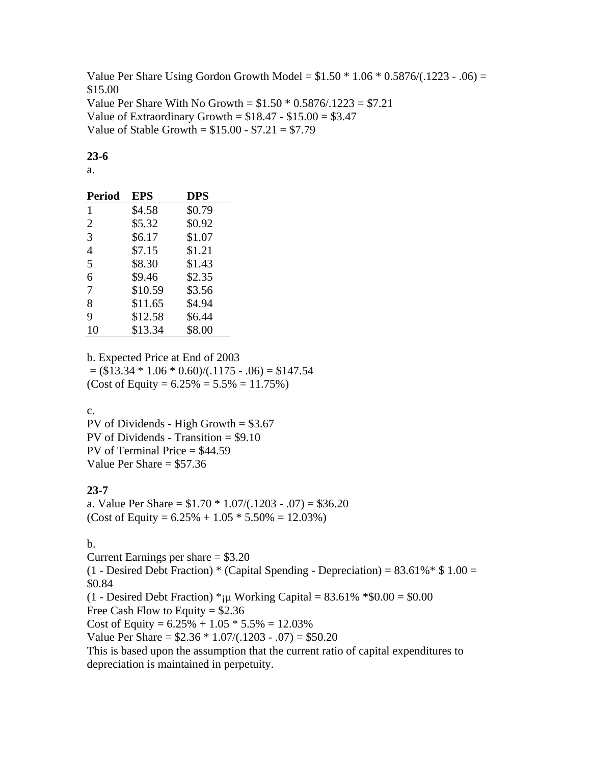Value Per Share Using Gordon Growth Model =  $$1.50 * 1.06 * 0.5876/(0.1223 - 0.06) =$ \$15.00 Value Per Share With No Growth =  $$1.50 * 0.5876/.1223 = $7.21$ Value of Extraordinary Growth =  $$18.47 - $15.00 = $3.47$ Value of Stable Growth =  $$15.00 - $7.21 = $7.79$ 

## **23-6**

a.

| <b>Period</b>  | <b>EPS</b> | <b>DPS</b> |
|----------------|------------|------------|
| 1              | \$4.58     | \$0.79     |
| $\overline{2}$ | \$5.32     | \$0.92     |
| 3              | \$6.17     | \$1.07     |
| $\overline{4}$ | \$7.15     | \$1.21     |
| 5              | \$8.30     | \$1.43     |
| 6              | \$9.46     | \$2.35     |
| 7              | \$10.59    | \$3.56     |
| 8              | \$11.65    | \$4.94     |
| 9              | \$12.58    | \$6.44     |
| 10             | \$13.34    | \$8.00     |

b. Expected Price at End of 2003  $=$  (\$13.34  $*$  1.06  $*$  0.60)/(.1175 - .06)  $=$  \$147.54 (Cost of Equity =  $6.25\% = 5.5\% = 11.75\%$ )

c.

PV of Dividends - High Growth = \$3.67 PV of Dividends - Transition = \$9.10 PV of Terminal Price  $= $44.59$ Value Per Share  $= $57.36$ 

# **23-7**

a. Value Per Share =  $$1.70 * 1.07/(.1203 - .07) = $36.20$ (Cost of Equity =  $6.25\% + 1.05 * 5.50\% = 12.03\%$ )

# b.

Current Earnings per share  $= $3.20$  $(1 -$  Desired Debt Fraction) \* (Capital Spending - Depreciation) = 83.61% \* \$ 1.00 = \$0.84 (1 - Desired Debt Fraction)  $*_i\mu$  Working Capital = 83.61%  $*_i0.00 = 0.00$ Free Cash Flow to Equity =  $$2.36$ Cost of Equity =  $6.25\% + 1.05 * 5.5\% = 12.03\%$ Value Per Share =  $$2.36 * 1.07/(.1203 - .07) = $50.20$ This is based upon the assumption that the current ratio of capital expenditures to depreciation is maintained in perpetuity.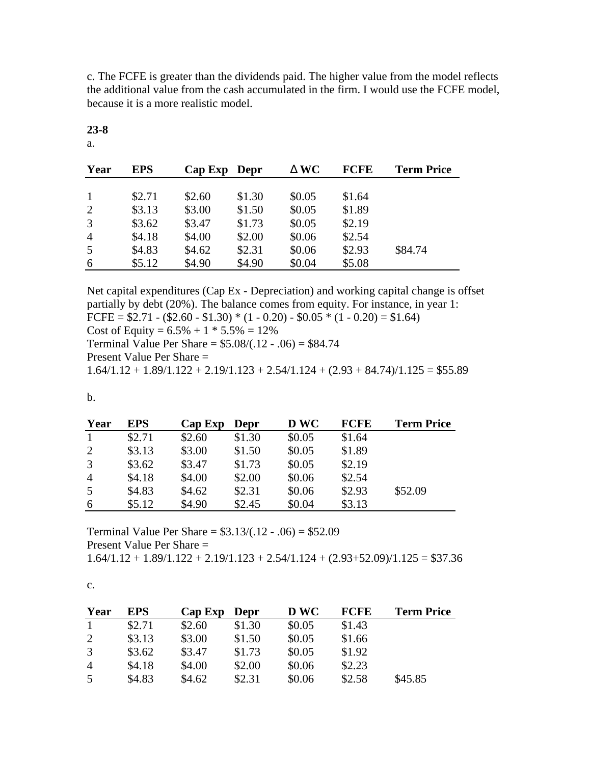c. The FCFE is greater than the dividends paid. The higher value from the model reflects the additional value from the cash accumulated in the firm. I would use the FCFE model, because it is a more realistic model.

| Year           | <b>EPS</b> | Cap Exp | Depr   | WC     | <b>FCFE</b> | <b>Term Price</b> |
|----------------|------------|---------|--------|--------|-------------|-------------------|
|                |            |         |        |        |             |                   |
|                | \$2.71     | \$2.60  | \$1.30 | \$0.05 | \$1.64      |                   |
| 2              | \$3.13     | \$3.00  | \$1.50 | \$0.05 | \$1.89      |                   |
| 3              | \$3.62     | \$3.47  | \$1.73 | \$0.05 | \$2.19      |                   |
| $\overline{4}$ | \$4.18     | \$4.00  | \$2.00 | \$0.06 | \$2.54      |                   |
| 5              | \$4.83     | \$4.62  | \$2.31 | \$0.06 | \$2.93      | \$84.74           |
| 6              | \$5.12     | \$4.90  | \$4.90 | \$0.04 | \$5.08      |                   |

**23-8**

a.

Net capital expenditures (Cap Ex - Depreciation) and working capital change is offset partially by debt (20%). The balance comes from equity. For instance, in year 1: FCFE =  $$2.71 - ($2.60 - $1.30) * (1 - 0.20) - $0.05 * (1 - 0.20) = $1.64)$ Cost of Equity =  $6.5\%$  + 1  $*$  5.5% = 12% Terminal Value Per Share =  $$5.08/(.12 - .06) = $84.74$ 

Present Value Per Share =

 $1.64/1.12 + 1.89/1.122 + 2.19/1.123 + 2.54/1.124 + (2.93 + 84.74)/1.125 = $55.89$ 

b.

| Year           | <b>EPS</b> | Cap Exp | Depr   | <b>D WC</b> | <b>FCFE</b> | <b>Term Price</b> |
|----------------|------------|---------|--------|-------------|-------------|-------------------|
| 1              | \$2.71     | \$2.60  | \$1.30 | \$0.05      | \$1.64      |                   |
| 2              | \$3.13     | \$3.00  | \$1.50 | \$0.05      | \$1.89      |                   |
| 3              | \$3.62     | \$3.47  | \$1.73 | \$0.05      | \$2.19      |                   |
| $\overline{A}$ | \$4.18     | \$4.00  | \$2.00 | \$0.06      | \$2.54      |                   |
| 5              | \$4.83     | \$4.62  | \$2.31 | \$0.06      | \$2.93      | \$52.09           |
| 6              | \$5.12     | \$4.90  | \$2.45 | \$0.04      | \$3.13      |                   |

Terminal Value Per Share =  $$3.13/(.12 - .06) = $52.09$ Present Value Per Share =  $1.64/1.12 + 1.89/1.122 + 2.19/1.123 + 2.54/1.124 + (2.93 + 52.09)/1.125 = $37.36$ 

c.

| Year           | <b>EPS</b> | $Cap$ Exp | <b>Depr</b> | <b>DWC</b> | <b>FCFE</b> | <b>Term Price</b> |
|----------------|------------|-----------|-------------|------------|-------------|-------------------|
|                | \$2.71     | \$2.60    | \$1.30      | \$0.05     | \$1.43      |                   |
| 2              | \$3.13     | \$3.00    | \$1.50      | \$0.05     | \$1.66      |                   |
| 3              | \$3.62     | \$3.47    | \$1.73      | \$0.05     | \$1.92      |                   |
| $\overline{4}$ | \$4.18     | \$4.00    | \$2.00      | \$0.06     | \$2.23      |                   |
| 5              | \$4.83     | \$4.62    | \$2.31      | \$0.06     | \$2.58      | \$45.85           |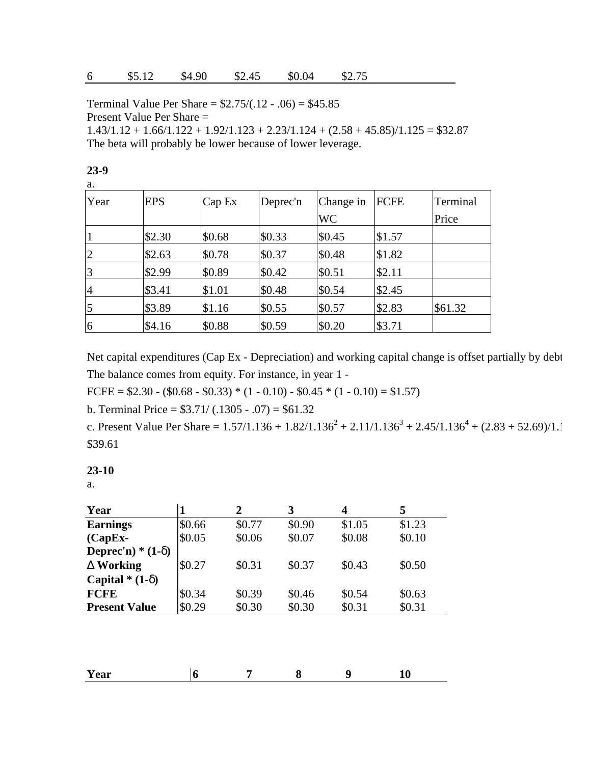Terminal Value Per Share =  $$2.75/(.12 - .06) = $45.85$ Present Value Per Share =

 $1.43/1.12 + 1.66/1.122 + 1.92/1.123 + 2.23/1.124 + (2.58 + 45.85)/1.125 = $32.87$ The beta will probably be lower because of lower leverage.

| a.             |            |        |          |           |        |          |
|----------------|------------|--------|----------|-----------|--------|----------|
| Year           | <b>EPS</b> | Cap Ex | Deprec'n | Change in | FCFE   | Terminal |
|                |            |        |          | <b>WC</b> |        | Price    |
|                | \$2.30     | \$0.68 | \$0.33   | \$0.45    | \$1.57 |          |
| 2              | \$2.63     | \$0.78 | \$0.37   | \$0.48    | \$1.82 |          |
| $\overline{3}$ | \$2.99     | \$0.89 | \$0.42   | \$0.51    | \$2.11 |          |
| $\overline{4}$ | \$3.41     | \$1.01 | \$0.48   | \$0.54    | \$2.45 |          |
| $\overline{5}$ | \$3.89     | \$1.16 | \$0.55   | \$0.57    | \$2.83 | \$61.32  |
| 6              | \$4.16     | \$0.88 | \$0.59   | \$0.20    | \$3.71 |          |

Net capital expenditures (Cap Ex - Depreciation) and working capital change is offset partially by debt The balance comes from equity. For instance, in year 1 -

FCFE =  $$2.30 - ($0.68 - $0.33) * (1 - 0.10) - $0.45 * (1 - 0.10) = $1.57)$ 

b. Terminal Price =  $$3.71/(.1305 - .07) = $61.32$ 

c. Present Value Per Share =  $1.57/1.136 + 1.82/1.136^2 + 2.11/1.136^3 + 2.45/1.136^4 + (2.83 + 52.69)/1.$ \$39.61

#### **23-10**

a.

| Year                        |        | 2      | 3      | 4      | 5      |
|-----------------------------|--------|--------|--------|--------|--------|
| <b>Earnings</b>             | \$0.66 | \$0.77 | \$0.90 | \$1.05 | \$1.23 |
| $(CapEx-$                   | \$0.05 | \$0.06 | \$0.07 | \$0.08 | \$0.10 |
| <b>Deprec'n)</b> * $(1 - )$ |        |        |        |        |        |
| <b>Working</b>              | \$0.27 | \$0.31 | \$0.37 | \$0.43 | \$0.50 |
| Capital $*(1-)$             |        |        |        |        |        |
| <b>FCFE</b>                 | \$0.34 | \$0.39 | \$0.46 | \$0.54 | \$0.63 |
| <b>Present Value</b>        | \$0.29 | \$0.30 | \$0.30 | \$0.31 | \$0.31 |

| Year |  |  |  | -<br>$ -$ |  |
|------|--|--|--|-----------|--|
|------|--|--|--|-----------|--|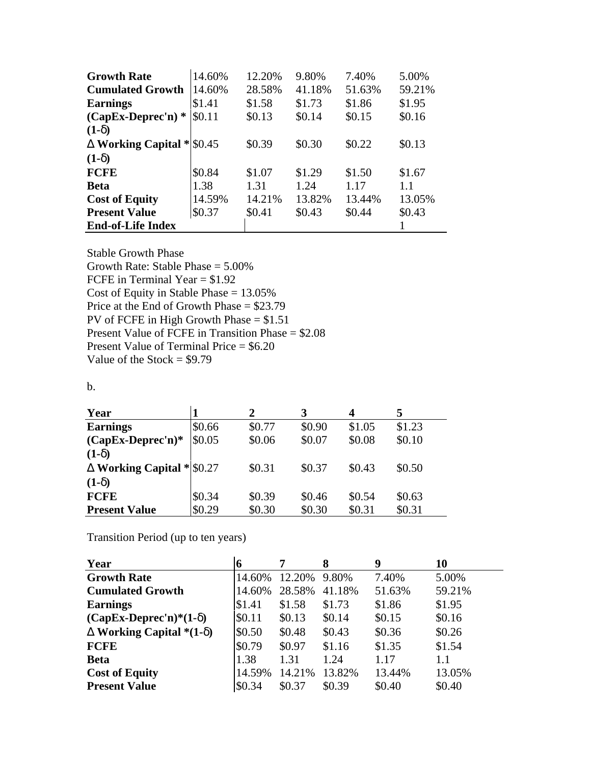| <b>Growth Rate</b>          | 14.60% | 12.20% | 9.80%  | 7.40%  | 5.00%  |
|-----------------------------|--------|--------|--------|--------|--------|
| <b>Cumulated Growth</b>     | 14.60% | 28.58% | 41.18% | 51.63% | 59.21% |
| <b>Earnings</b>             | \$1.41 | \$1.58 | \$1.73 | \$1.86 | \$1.95 |
| $(CapEx\text{-}Deprec'n)$ * | \$0.11 | \$0.13 | \$0.14 | \$0.15 | \$0.16 |
| $(1-)$                      |        |        |        |        |        |
| Working Capital $ \$0.45$   |        | \$0.39 | \$0.30 | \$0.22 | \$0.13 |
| $(1-)$                      |        |        |        |        |        |
| <b>FCFE</b>                 | \$0.84 | \$1.07 | \$1.29 | \$1.50 | \$1.67 |
| <b>Beta</b>                 | 1.38   | 1.31   | 1.24   | 1.17   | 1.1    |
| <b>Cost of Equity</b>       | 14.59% | 14.21% | 13.82% | 13.44% | 13.05% |
| <b>Present Value</b>        | \$0.37 | \$0.41 | \$0.43 | \$0.44 | \$0.43 |
| <b>End-of-Life Index</b>    |        |        |        |        |        |

Stable Growth Phase

Growth Rate: Stable Phase = 5.00% FCFE in Terminal Year = \$1.92 Cost of Equity in Stable Phase = 13.05% Price at the End of Growth Phase = \$23.79 PV of FCFE in High Growth Phase = \$1.51 Present Value of FCFE in Transition Phase = \$2.08 Present Value of Terminal Price = \$6.20 Value of the Stock =  $$9.79$ 

## b.

| Year                            |        | 2      |        | 4      | 5      |
|---------------------------------|--------|--------|--------|--------|--------|
| <b>Earnings</b>                 | \$0.66 | \$0.77 | \$0.90 | \$1.05 | \$1.23 |
| $(CapEx\text{-}Deprec'n)*$      | \$0.05 | \$0.06 | \$0.07 | \$0.08 | \$0.10 |
| $(1-)$                          |        |        |        |        |        |
| <b>Working Capital * \$0.27</b> |        | \$0.31 | \$0.37 | \$0.43 | \$0.50 |
| $(1-)$                          |        |        |        |        |        |
| <b>FCFE</b>                     | \$0.34 | \$0.39 | \$0.46 | \$0.54 | \$0.63 |
| <b>Present Value</b>            | \$0.29 | \$0.30 | \$0.30 | \$0.31 | \$0.31 |

Transition Period (up to ten years)

| Year                           |        |        | 8      | 9      | 10     |
|--------------------------------|--------|--------|--------|--------|--------|
| <b>Growth Rate</b>             | 14.60% | 12.20% | 9.80%  | 7.40%  | 5.00%  |
| <b>Cumulated Growth</b>        | 14.60% | 28.58% | 41.18% | 51.63% | 59.21% |
| <b>Earnings</b>                | \$1.41 | \$1.58 | \$1.73 | \$1.86 | \$1.95 |
| $(CapEx\text{-}Deprec'n)*(1-)$ | \$0.11 | \$0.13 | \$0.14 | \$0.15 | \$0.16 |
| Working Capital $*(1-)$        | \$0.50 | \$0.48 | \$0.43 | \$0.36 | \$0.26 |
| <b>FCFE</b>                    | \$0.79 | \$0.97 | \$1.16 | \$1.35 | \$1.54 |
| <b>Beta</b>                    | 1.38   | 1.31   | 1.24   | 1.17   | 1.1    |
| <b>Cost of Equity</b>          | 14.59% | 14.21% | 13.82% | 13.44% | 13.05% |
| <b>Present Value</b>           | \$0.34 | \$0.37 | \$0.39 | \$0.40 | \$0.40 |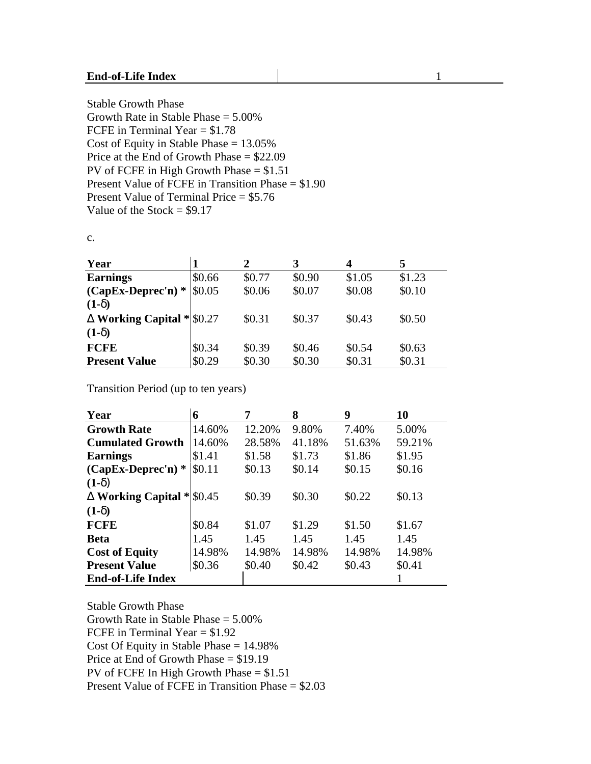#### **End-of-Life Index** 1

Stable Growth Phase Growth Rate in Stable Phase = 5.00% FCFE in Terminal Year = \$1.78 Cost of Equity in Stable Phase = 13.05% Price at the End of Growth Phase = \$22.09 PV of FCFE in High Growth Phase  $= $1.51$ Present Value of FCFE in Transition Phase = \$1.90 Present Value of Terminal Price = \$5.76 Value of the Stock  $= $9.17$ 

c.

| Year                            |        |        | 3      | 4      | 5      |
|---------------------------------|--------|--------|--------|--------|--------|
| <b>Earnings</b>                 | \$0.66 | \$0.77 | \$0.90 | \$1.05 | \$1.23 |
| $(CapEx\text{-}Deprec'n)$ *     | \$0.05 | \$0.06 | \$0.07 | \$0.08 | \$0.10 |
| $(1-)$                          |        |        |        |        |        |
| <b>Working Capital * \$0.27</b> |        | \$0.31 | \$0.37 | \$0.43 | \$0.50 |
| $(1-)$                          |        |        |        |        |        |
| <b>FCFE</b>                     | \$0.34 | \$0.39 | \$0.46 | \$0.54 | \$0.63 |
| <b>Present Value</b>            | \$0.29 | \$0.30 | \$0.30 | \$0.31 | \$0.31 |

Transition Period (up to ten years)

| Year                            | 6      | 7      | 8      | 9      | 10     |
|---------------------------------|--------|--------|--------|--------|--------|
| <b>Growth Rate</b>              | 14.60% | 12.20% | 9.80%  | 7.40%  | 5.00%  |
| <b>Cumulated Growth</b>         | 14.60% | 28.58% | 41.18% | 51.63% | 59.21% |
| <b>Earnings</b>                 | \$1.41 | \$1.58 | \$1.73 | \$1.86 | \$1.95 |
| $(CapEx\text{-}Deprec'n)$ *     | \$0.11 | \$0.13 | \$0.14 | \$0.15 | \$0.16 |
| $(1-)$                          |        |        |        |        |        |
| <b>Working Capital * \$0.45</b> |        | \$0.39 | \$0.30 | \$0.22 | \$0.13 |
| $(1-)$                          |        |        |        |        |        |
| <b>FCFE</b>                     | \$0.84 | \$1.07 | \$1.29 | \$1.50 | \$1.67 |
| <b>Beta</b>                     | 1.45   | 1.45   | 1.45   | 1.45   | 1.45   |
| <b>Cost of Equity</b>           | 14.98% | 14.98% | 14.98% | 14.98% | 14.98% |
| <b>Present Value</b>            | \$0.36 | \$0.40 | \$0.42 | \$0.43 | \$0.41 |
| <b>End-of-Life Index</b>        |        |        |        |        |        |

Stable Growth Phase Growth Rate in Stable Phase = 5.00% FCFE in Terminal Year = \$1.92 Cost Of Equity in Stable Phase = 14.98% Price at End of Growth Phase = \$19.19 PV of FCFE In High Growth Phase = \$1.51 Present Value of FCFE in Transition Phase = \$2.03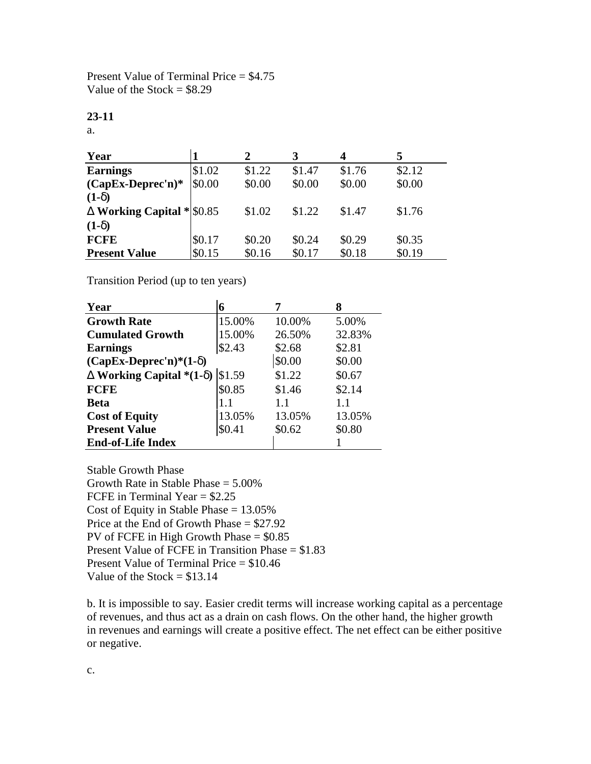Present Value of Terminal Price = \$4.75 Value of the Stock  $= $8.29$ 

#### **23-11**

a.

| Year                            |        |        |        | 4      |        |
|---------------------------------|--------|--------|--------|--------|--------|
| <b>Earnings</b>                 | \$1.02 | \$1.22 | \$1.47 | \$1.76 | \$2.12 |
| $(CapEx\text{-}Deprec'n)*$      | \$0.00 | \$0.00 | \$0.00 | \$0.00 | \$0.00 |
| $(1 -$                          |        |        |        |        |        |
| <b>Working Capital * \$0.85</b> |        | \$1.02 | \$1.22 | \$1.47 | \$1.76 |
| $(1-)$                          |        |        |        |        |        |
| <b>FCFE</b>                     | \$0.17 | \$0.20 | \$0.24 | \$0.29 | \$0.35 |
| <b>Present Value</b>            | \$0.15 | \$0.16 | \$0.17 | \$0.18 | \$0.19 |

Transition Period (up to ten years)

| Year                           | 6      |        |        |
|--------------------------------|--------|--------|--------|
| <b>Growth Rate</b>             | 15.00% | 10.00% | 5.00%  |
| <b>Cumulated Growth</b>        | 15.00% | 26.50% | 32.83% |
| <b>Earnings</b>                | \$2.43 | \$2.68 | \$2.81 |
| $(CapEx\text{-}Deprec'n)*(1-)$ | \$0.00 | \$0.00 |        |
| Working Capital $*(1-)$        | \$1.59 | \$1.22 | \$0.67 |
| <b>FCFE</b>                    | \$0.85 | \$1.46 | \$2.14 |
| <b>Beta</b>                    | 1.1    | 1.1    | 1.1    |
| <b>Cost of Equity</b>          | 13.05% | 13.05% | 13.05% |
| <b>Present Value</b>           | \$0.41 | \$0.62 | \$0.80 |
| <b>End-of-Life Index</b>       |        |        |        |

Stable Growth Phase Growth Rate in Stable Phase = 5.00% FCFE in Terminal Year = \$2.25 Cost of Equity in Stable Phase  $= 13.05\%$ Price at the End of Growth Phase = \$27.92 PV of FCFE in High Growth Phase = \$0.85 Present Value of FCFE in Transition Phase = \$1.83 Present Value of Terminal Price = \$10.46 Value of the Stock  $= $13.14$ 

b. It is impossible to say. Easier credit terms will increase working capital as a percentage of revenues, and thus act as a drain on cash flows. On the other hand, the higher growth in revenues and earnings will create a positive effect. The net effect can be either positive or negative.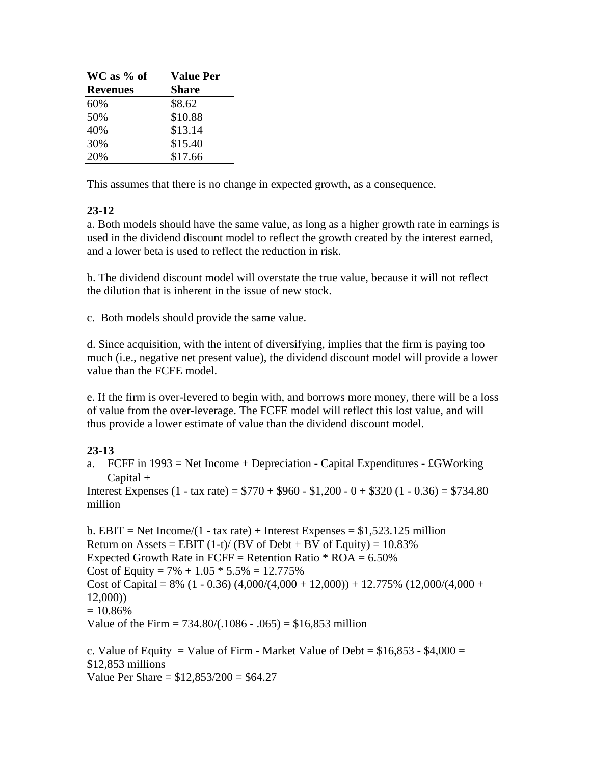| WC as % of      | <b>Value Per</b> |
|-----------------|------------------|
| <b>Revenues</b> | <b>Share</b>     |
| 60%             | \$8.62           |
| 50%             | \$10.88          |
| 40%             | \$13.14          |
| 30%             | \$15.40          |
| 20%             | \$17.66          |

This assumes that there is no change in expected growth, as a consequence.

# **23-12**

a. Both models should have the same value, as long as a higher growth rate in earnings is used in the dividend discount model to reflect the growth created by the interest earned, and a lower beta is used to reflect the reduction in risk.

b. The dividend discount model will overstate the true value, because it will not reflect the dilution that is inherent in the issue of new stock.

c. Both models should provide the same value.

d. Since acquisition, with the intent of diversifying, implies that the firm is paying too much (i.e., negative net present value), the dividend discount model will provide a lower value than the FCFE model.

e. If the firm is over-levered to begin with, and borrows more money, there will be a loss of value from the over-leverage. The FCFE model will reflect this lost value, and will thus provide a lower estimate of value than the dividend discount model.

# **23-13**

a. FCFF in  $1993$  = Net Income + Depreciation - Capital Expenditures - £GWorking Capital +

Interest Expenses  $(1 - \text{tax rate}) = $770 + $960 - $1,200 - 0 + $320 (1 - 0.36) = $734.80$ million

b. EBIT = Net Income/(1 - tax rate) + Interest Expenses =  $$1,523.125$  million Return on Assets = EBIT  $(1-t)/(BV)$  of Debt + BV of Equity) = 10.83% Expected Growth Rate in FCFF = Retention Ratio  $*$  ROA = 6.50% Cost of Equity =  $7\% + 1.05 * 5.5\% = 12.775\%$ Cost of Capital = 8% (1 - 0.36) (4,000/(4,000 + 12,000)) + 12.775% (12,000/(4,000 + 12,000))  $= 10.86\%$ Value of the Firm =  $734.80/(0.1086 - 0.065) = $16,853$  million

c. Value of Equity = Value of Firm - Market Value of Debt =  $$16,853 - $4,000 =$ \$12,853 millions Value Per Share = \$12,853/200 = \$64.27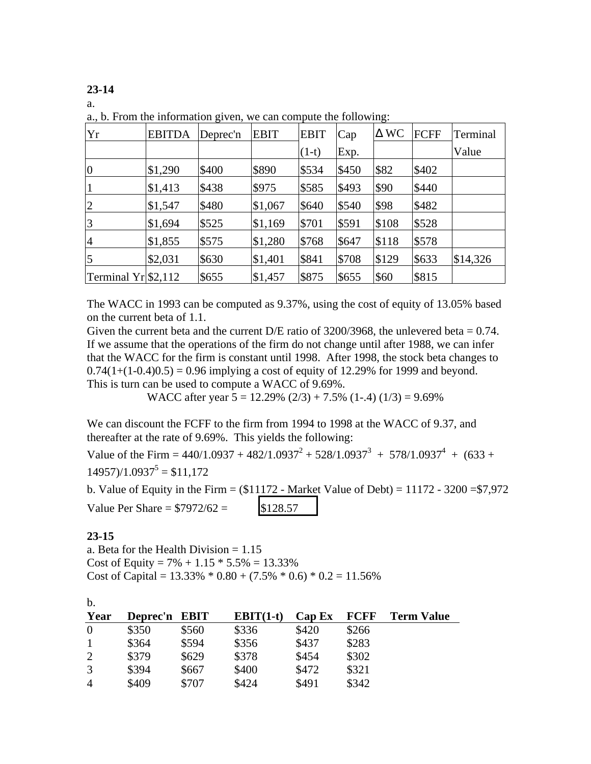**23-14**

a.

| Yr                    | <b>EBITDA</b> | Deprec'n | <b>EBIT</b> | <b>EBIT</b> | Cap   | <b>WC</b> | <b>FCFF</b> | Terminal |
|-----------------------|---------------|----------|-------------|-------------|-------|-----------|-------------|----------|
|                       |               |          |             | $(1-t)$     | Exp.  |           |             | Value    |
| $\boldsymbol{0}$      | \$1,290       | \$400    | \$890       | \$534       | \$450 | \$82      | \$402       |          |
| $\mathbf{1}$          | \$1,413       | \$438    | \$975       | \$585       | \$493 | \$90      | \$440       |          |
| $\overline{2}$        | \$1,547       | \$480    | \$1,067     | \$640       | \$540 | \$98      | \$482       |          |
| 3                     | \$1,694       | \$525    | \$1,169     | \$701       | \$591 | \$108     | \$528       |          |
| $\overline{4}$        | \$1,855       | \$575    | \$1,280     | \$768       | \$647 | \$118     | \$578       |          |
| 5                     | \$2,031       | \$630    | \$1,401     | \$841       | \$708 | \$129     | \$633       | \$14,326 |
| Terminal $Yr$ \$2,112 |               | \$655    | \$1,457     | \$875       | \$655 | \$60      | \$815       |          |

a., b. From the information given, we can compute the following:

The WACC in 1993 can be computed as 9.37%, using the cost of equity of 13.05% based on the current beta of 1.1.

Given the current beta and the current D/E ratio of  $3200/3968$ , the unlevered beta = 0.74. If we assume that the operations of the firm do not change until after 1988, we can infer that the WACC for the firm is constant until 1998. After 1998, the stock beta changes to  $0.74(1+(1-0.4)0.5) = 0.96$  implying a cost of equity of 12.29% for 1999 and beyond. This is turn can be used to compute a WACC of 9.69%.

WACC after year  $5 = 12.29\%$  (2/3) + 7.5% (1-.4) (1/3) = 9.69%

We can discount the FCFF to the firm from 1994 to 1998 at the WACC of 9.37, and thereafter at the rate of 9.69%. This yields the following:

Value of the Firm =  $440/1.0937 + 482/1.0937^2 + 528/1.0937^3 + 578/1.0937^4 + (633 +$  $14957$ )/ $1.0937^5 = $11,172$ 

b. Value of Equity in the Firm =  $($11172 - Market Value of Debt) = 11172 - 3200 = $7,972$ Value Per Share =  $$7972/62 =$  \$128.57

## **23-15**

a. Beta for the Health Division  $= 1.15$ Cost of Equity =  $7\% + 1.15 * 5.5\% = 13.33\%$ Cost of Capital =  $13.33\% * 0.80 + (7.5\% * 0.6) * 0.2 = 11.56\%$ 

| b.             |               |       |             |        |             |                   |
|----------------|---------------|-------|-------------|--------|-------------|-------------------|
| Year           | Deprec'n EBIT |       | $EBIT(1-t)$ | Cap Ex | <b>FCFF</b> | <b>Term Value</b> |
| $\overline{0}$ | \$350         | \$560 | \$336       | \$420  | \$266       |                   |
|                | \$364         | \$594 | \$356       | \$437  | \$283       |                   |
| 2              | \$379         | \$629 | \$378       | \$454  | \$302       |                   |
| 3              | \$394         | \$667 | \$400       | \$472  | \$321       |                   |
| $\overline{4}$ | \$409         | \$707 | \$424       | \$491  | \$342       |                   |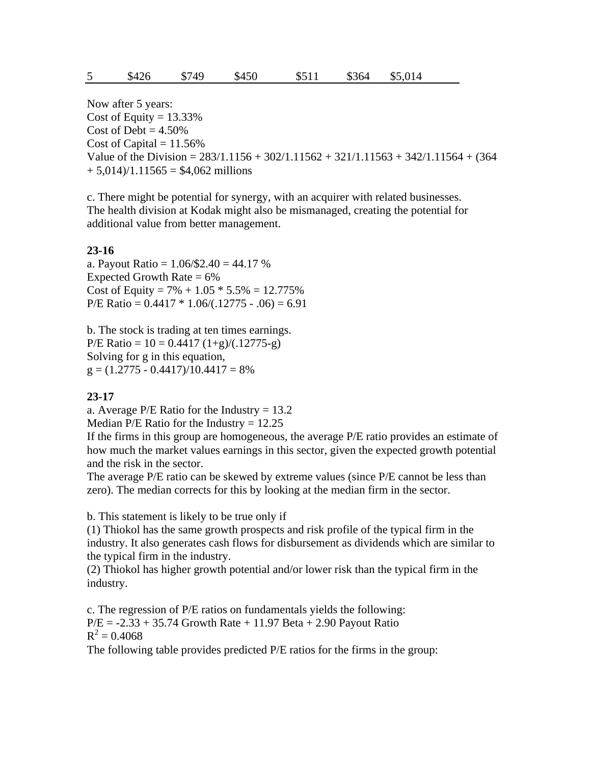Now after 5 years: Cost of Equity =  $13.33\%$ Cost of Debt  $= 4.50\%$ Cost of Capital  $= 11.56\%$ Value of the Division =  $283/1.1156 + 302/1.11562 + 321/1.11563 + 342/1.11564 + (364$  $+ 5.014$  $/1.11565 = $4.062$  millions

c. There might be potential for synergy, with an acquirer with related businesses. The health division at Kodak might also be mismanaged, creating the potential for additional value from better management.

### **23-16**

a. Payout Ratio = 1.06/\$2.40 = 44.17 % Expected Growth Rate  $= 6\%$ Cost of Equity =  $7\% + 1.05 * 5.5\% = 12.775\%$  $P/E$  Ratio = 0.4417  $*$  1.06/(.12775 - .06) = 6.91

b. The stock is trading at ten times earnings. P/E Ratio =  $10 = 0.4417 (1+g)/(0.12775-g)$ Solving for g in this equation,  $g = (1.2775 - 0.4417)/10.4417 = 8\%$ 

#### **23-17**

a. Average  $P/E$  Ratio for the Industry = 13.2 Median P/E Ratio for the Industry  $= 12.25$ 

If the firms in this group are homogeneous, the average P/E ratio provides an estimate of how much the market values earnings in this sector, given the expected growth potential and the risk in the sector.

The average P/E ratio can be skewed by extreme values (since P/E cannot be less than zero). The median corrects for this by looking at the median firm in the sector.

b. This statement is likely to be true only if

(1) Thiokol has the same growth prospects and risk profile of the typical firm in the industry. It also generates cash flows for disbursement as dividends which are similar to the typical firm in the industry.

(2) Thiokol has higher growth potential and/or lower risk than the typical firm in the industry.

c. The regression of P/E ratios on fundamentals yields the following:  $P/E = -2.33 + 35.74$  Growth Rate + 11.97 Beta + 2.90 Payout Ratio  $R^2 = 0.4068$ 

The following table provides predicted P/E ratios for the firms in the group: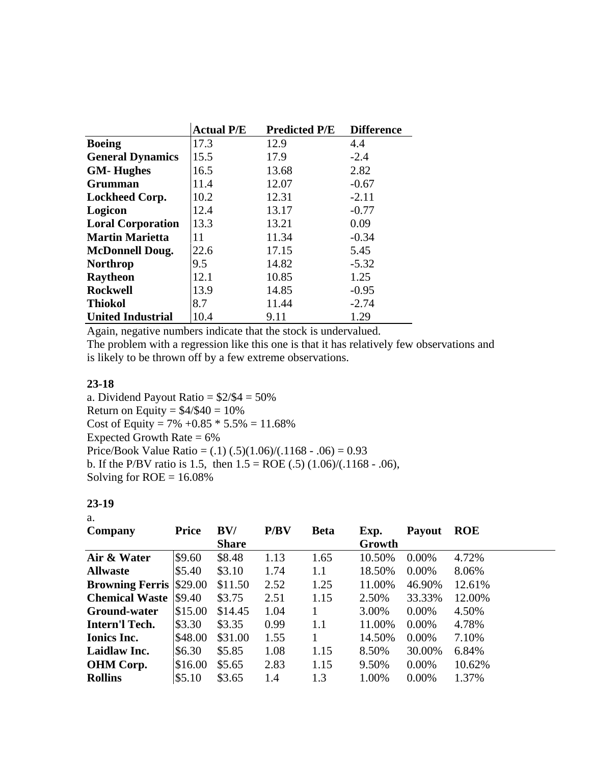| 17.3<br>12.9<br>4.4<br><b>Boeing</b><br>15.5<br>17.9<br>$-2.4$<br><b>General Dynamics</b><br>2.82<br>13.68<br>16.5 |
|--------------------------------------------------------------------------------------------------------------------|
|                                                                                                                    |
|                                                                                                                    |
| <b>GM-Hughes</b>                                                                                                   |
| 12.07<br>Grumman<br>11.4<br>$-0.67$                                                                                |
| 10.2<br>12.31<br>$-2.11$<br><b>Lockheed Corp.</b>                                                                  |
| 12.4<br>13.17<br>$-0.77$<br>Logicon                                                                                |
| 13.3<br><b>Loral Corporation</b><br>13.21<br>0.09                                                                  |
| 11.34<br><b>Martin Marietta</b><br>11<br>$-0.34$                                                                   |
| 22.6<br>17.15<br>5.45<br><b>McDonnell Doug.</b>                                                                    |
| 9.5<br>14.82<br>$-5.32$<br><b>Northrop</b>                                                                         |
| 10.85<br>12.1<br>1.25<br><b>Raytheon</b>                                                                           |
| 13.9<br><b>Rockwell</b><br>14.85<br>$-0.95$                                                                        |
| 8.7<br><b>Thiokol</b><br>11.44<br>$-2.74$                                                                          |
| 10.4<br>1.29<br><b>United Industrial</b><br>9.11                                                                   |

Again, negative numbers indicate that the stock is undervalued.

The problem with a regression like this one is that it has relatively few observations and is likely to be thrown off by a few extreme observations.

## **23-18**

a. Dividend Payout Ratio  $= $2/ $4 = 50\%$ Return on Equity =  $$4/\$40 = 10\%$ Cost of Equity =  $7\%$  +0.85  $*$  5.5% = 11.68% Expected Growth Rate  $= 6\%$ Price/Book Value Ratio =  $(.1)$   $(.5)$  $(1.06)$  $(0.1168 - .06) = 0.93$ b. If the P/BV ratio is 1.5, then  $1.5 = \text{ROE}(0.5) (1.06)/(0.1168 - 0.06)$ , Solving for  $ROE = 16.08\%$ 

## **23-19**

| i<br>٠           |  |
|------------------|--|
| ۰.<br>×<br>- - - |  |

| Company                        | <b>Price</b> | BV/          | P/BV | <b>Beta</b> | Exp.   | <b>Payout</b> | <b>ROE</b> |
|--------------------------------|--------------|--------------|------|-------------|--------|---------------|------------|
|                                |              | <b>Share</b> |      |             | Growth |               |            |
| Air & Water                    | \$9.60       | \$8.48       | 1.13 | 1.65        | 10.50% | $0.00\%$      | 4.72%      |
| <b>Allwaste</b>                | \$5.40       | \$3.10       | 1.74 | 1.1         | 18.50% | $0.00\%$      | 8.06%      |
| <b>Browning Ferris \$29.00</b> |              | \$11.50      | 2.52 | 1.25        | 11.00% | 46.90%        | 12.61%     |
| <b>Chemical Waste \$9.40</b>   |              | \$3.75       | 2.51 | 1.15        | 2.50%  | 33.33%        | 12.00%     |
| <b>Ground-water</b>            | \$15.00      | \$14.45      | 1.04 |             | 3.00%  | $0.00\%$      | 4.50%      |
| <b>Intern'l Tech.</b>          | \$3.30       | \$3.35       | 0.99 | 1.1         | 11.00% | $0.00\%$      | 4.78%      |
| <b>Ionics Inc.</b>             | \$48.00      | \$31.00      | 1.55 |             | 14.50% | $0.00\%$      | 7.10%      |
| Laidlaw Inc.                   | \$6.30       | \$5.85       | 1.08 | 1.15        | 8.50%  | 30.00%        | 6.84%      |
| <b>OHM</b> Corp.               | \$16.00      | \$5.65       | 2.83 | 1.15        | 9.50%  | $0.00\%$      | 10.62%     |
| <b>Rollins</b>                 | \$5.10       | \$3.65       | 1.4  | 1.3         | 1.00%  | $0.00\%$      | 1.37%      |